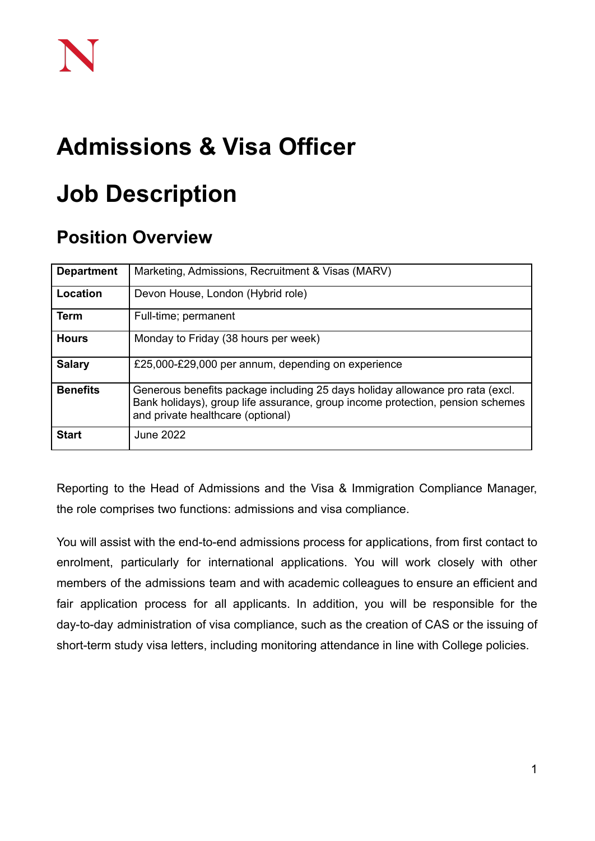## **Admissions & Visa Officer**

# **Job Description**

### **Position Overview**

| <b>Department</b> | Marketing, Admissions, Recruitment & Visas (MARV)                                                                                                                                                    |
|-------------------|------------------------------------------------------------------------------------------------------------------------------------------------------------------------------------------------------|
| Location          | Devon House, London (Hybrid role)                                                                                                                                                                    |
| <b>Term</b>       | Full-time; permanent                                                                                                                                                                                 |
| <b>Hours</b>      | Monday to Friday (38 hours per week)                                                                                                                                                                 |
| <b>Salary</b>     | £25,000-£29,000 per annum, depending on experience                                                                                                                                                   |
| <b>Benefits</b>   | Generous benefits package including 25 days holiday allowance pro rata (excl.<br>Bank holidays), group life assurance, group income protection, pension schemes<br>and private healthcare (optional) |
| <b>Start</b>      | June 2022                                                                                                                                                                                            |

Reporting to the Head of Admissions and the Visa & Immigration Compliance Manager, the role comprises two functions: admissions and visa compliance.

You will assist with the end-to-end admissions process for applications, from first contact to enrolment, particularly for international applications. You will work closely with other members of the admissions team and with academic colleagues to ensure an efficient and fair application process for all applicants. In addition, you will be responsible for the day-to-day administration of visa compliance, such as the creation of CAS or the issuing of short-term study visa letters, including monitoring attendance in line with College policies.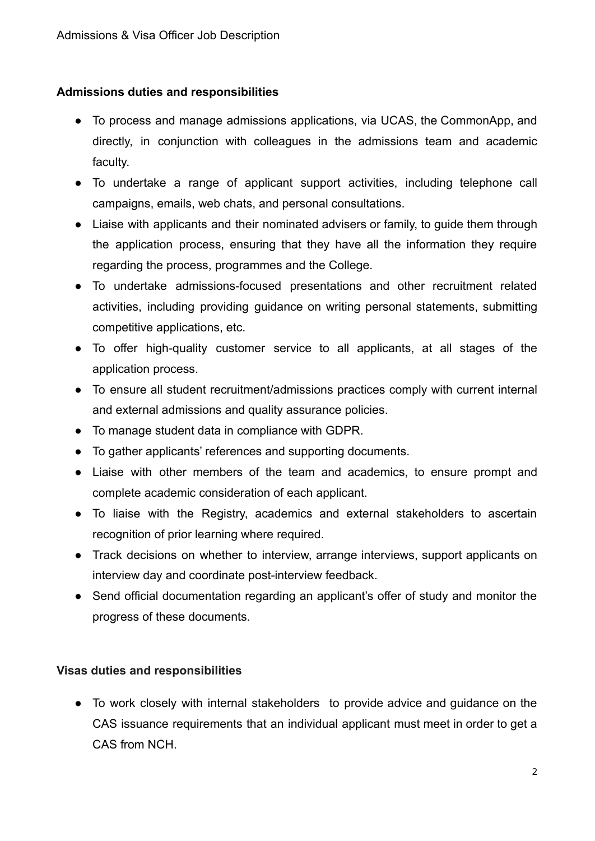#### **Admissions duties and responsibilities**

- To process and manage admissions applications, via UCAS, the CommonApp, and directly, in conjunction with colleagues in the admissions team and academic faculty.
- To undertake a range of applicant support activities, including telephone call campaigns, emails, web chats, and personal consultations.
- Liaise with applicants and their nominated advisers or family, to guide them through the application process, ensuring that they have all the information they require regarding the process, programmes and the College.
- To undertake admissions-focused presentations and other recruitment related activities, including providing guidance on writing personal statements, submitting competitive applications, etc.
- To offer high-quality customer service to all applicants, at all stages of the application process.
- To ensure all student recruitment/admissions practices comply with current internal and external admissions and quality assurance policies.
- To manage student data in compliance with GDPR.
- To gather applicants' references and supporting documents.
- Liaise with other members of the team and academics, to ensure prompt and complete academic consideration of each applicant.
- To liaise with the Registry, academics and external stakeholders to ascertain recognition of prior learning where required.
- Track decisions on whether to interview, arrange interviews, support applicants on interview day and coordinate post-interview feedback.
- Send official documentation regarding an applicant's offer of study and monitor the progress of these documents.

#### **Visas duties and responsibilities**

● To work closely with internal stakeholders to provide advice and guidance on the CAS issuance requirements that an individual applicant must meet in order to get a CAS from NCH.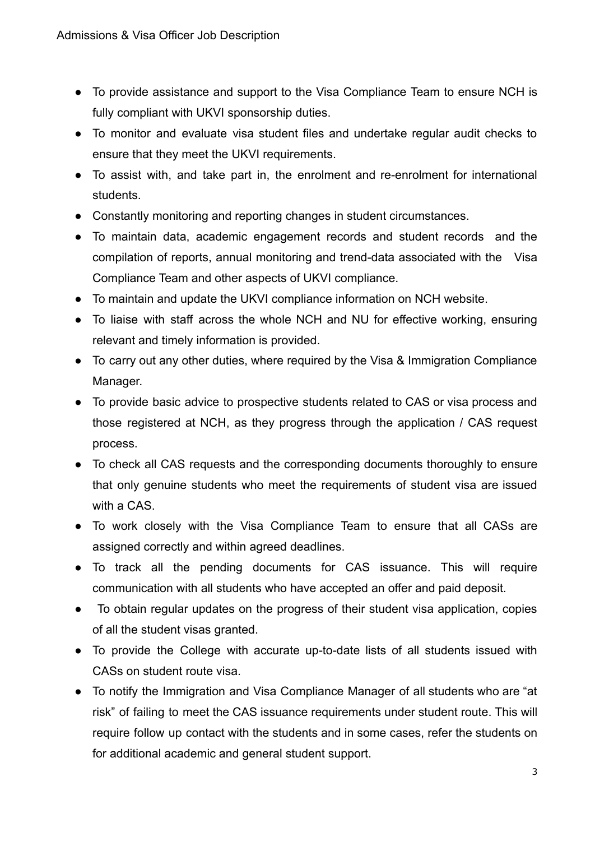- To provide assistance and support to the Visa Compliance Team to ensure NCH is fully compliant with UKVI sponsorship duties.
- To monitor and evaluate visa student files and undertake regular audit checks to ensure that they meet the UKVI requirements.
- To assist with, and take part in, the enrolment and re-enrolment for international students.
- Constantly monitoring and reporting changes in student circumstances.
- To maintain data, academic engagement records and student records and the compilation of reports, annual monitoring and trend-data associated with the Visa Compliance Team and other aspects of UKVI compliance.
- To maintain and update the UKVI compliance information on NCH website.
- To liaise with staff across the whole NCH and NU for effective working, ensuring relevant and timely information is provided.
- To carry out any other duties, where required by the Visa & Immigration Compliance Manager.
- To provide basic advice to prospective students related to CAS or visa process and those registered at NCH, as they progress through the application / CAS request process.
- To check all CAS requests and the corresponding documents thoroughly to ensure that only genuine students who meet the requirements of student visa are issued with a CAS.
- To work closely with the Visa Compliance Team to ensure that all CASs are assigned correctly and within agreed deadlines.
- To track all the pending documents for CAS issuance. This will require communication with all students who have accepted an offer and paid deposit.
- To obtain regular updates on the progress of their student visa application, copies of all the student visas granted.
- To provide the College with accurate up-to-date lists of all students issued with CASs on student route visa.
- To notify the Immigration and Visa Compliance Manager of all students who are "at risk" of failing to meet the CAS issuance requirements under student route. This will require follow up contact with the students and in some cases, refer the students on for additional academic and general student support.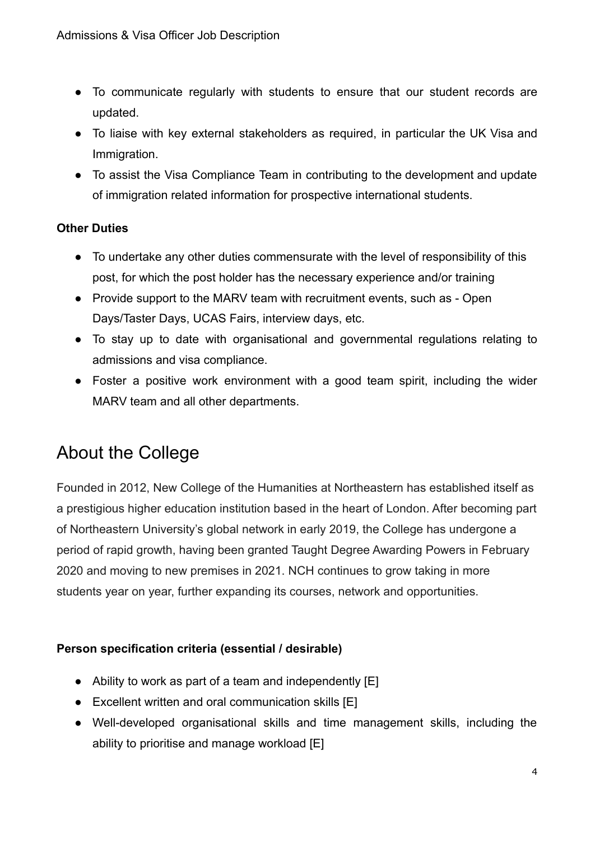- To communicate regularly with students to ensure that our student records are updated.
- To liaise with key external stakeholders as required, in particular the UK Visa and Immigration.
- To assist the Visa Compliance Team in contributing to the development and update of immigration related information for prospective international students.

#### **Other Duties**

- To undertake any other duties commensurate with the level of responsibility of this post, for which the post holder has the necessary experience and/or training
- Provide support to the MARV team with recruitment events, such as Open Days/Taster Days, UCAS Fairs, interview days, etc.
- To stay up to date with organisational and governmental regulations relating to admissions and visa compliance.
- Foster a positive work environment with a good team spirit, including the wider MARV team and all other departments.

## About the College

Founded in 2012, New College of the Humanities at Northeastern has established itself as a prestigious higher education institution based in the heart of London. After becoming part of Northeastern University's global network in early 2019, the College has undergone a period of rapid growth, having been granted Taught Degree Awarding Powers in February 2020 and moving to new premises in 2021. NCH continues to grow taking in more students year on year, further expanding its courses, network and opportunities.

### **Person specification criteria (essential / desirable)**

- Ability to work as part of a team and independently [E]
- Excellent written and oral communication skills [E]
- Well-developed organisational skills and time management skills, including the ability to prioritise and manage workload [E]